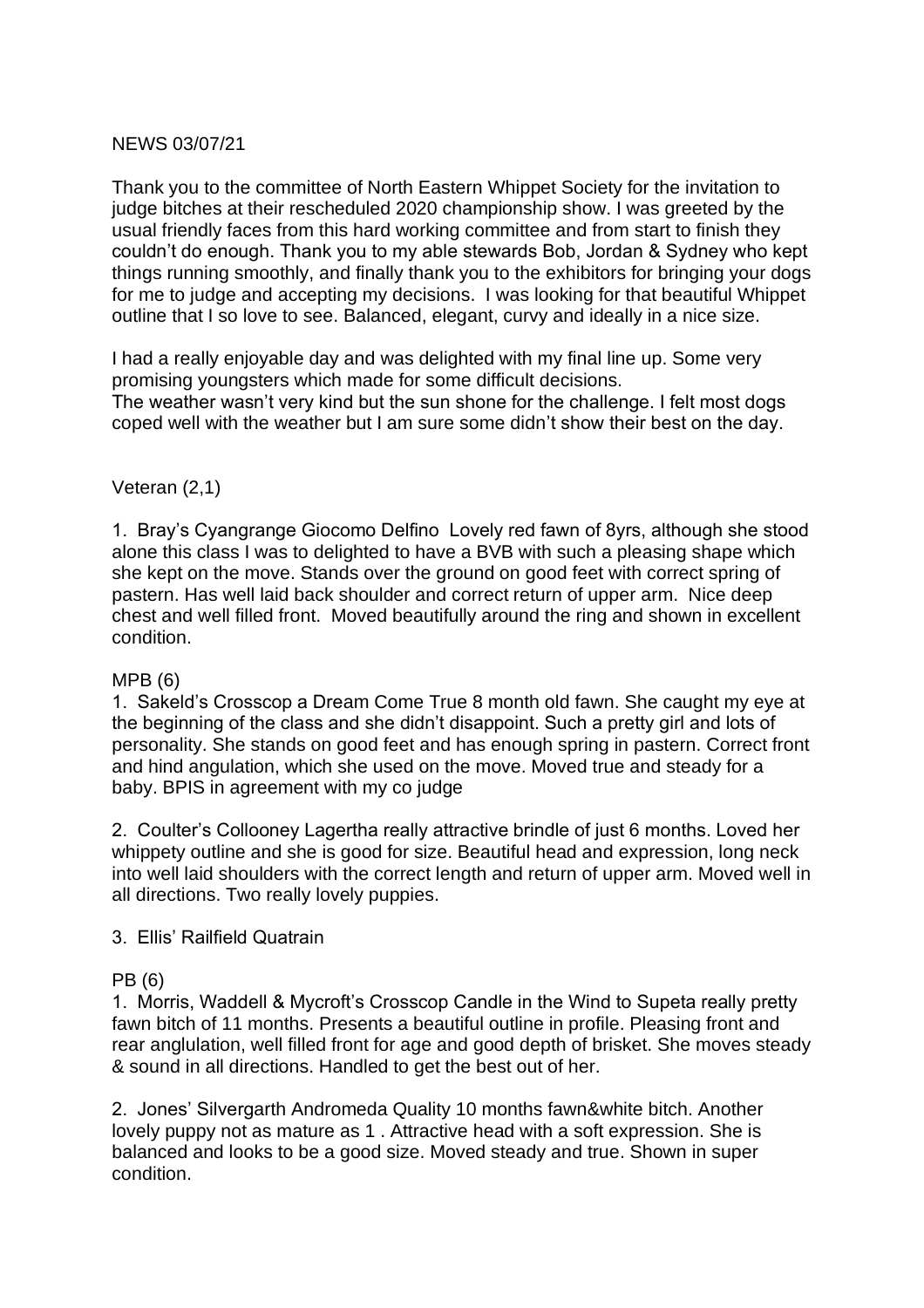### NEWS 03/07/21

Thank you to the committee of North Eastern Whippet Society for the invitation to judge bitches at their rescheduled 2020 championship show. I was greeted by the usual friendly faces from this hard working committee and from start to finish they couldn't do enough. Thank you to my able stewards Bob, Jordan & Sydney who kept things running smoothly, and finally thank you to the exhibitors for bringing your dogs for me to judge and accepting my decisions. I was looking for that beautiful Whippet outline that I so love to see. Balanced, elegant, curvy and ideally in a nice size.

I had a really enjoyable day and was delighted with my final line up. Some very promising youngsters which made for some difficult decisions. The weather wasn't very kind but the sun shone for the challenge. I felt most dogs coped well with the weather but I am sure some didn't show their best on the day.

### Veteran (2,1)

1. Bray's Cyangrange Giocomo Delfino Lovely red fawn of 8yrs, although she stood alone this class I was to delighted to have a BVB with such a pleasing shape which she kept on the move. Stands over the ground on good feet with correct spring of pastern. Has well laid back shoulder and correct return of upper arm. Nice deep chest and well filled front. Moved beautifully around the ring and shown in excellent condition.

### MPB (6)

1. Sakeld's Crosscop a Dream Come True 8 month old fawn. She caught my eye at the beginning of the class and she didn't disappoint. Such a pretty girl and lots of personality. She stands on good feet and has enough spring in pastern. Correct front and hind angulation, which she used on the move. Moved true and steady for a baby. BPIS in agreement with my co judge

2. Coulter's Collooney Lagertha really attractive brindle of just 6 months. Loved her whippety outline and she is good for size. Beautiful head and expression, long neck into well laid shoulders with the correct length and return of upper arm. Moved well in all directions. Two really lovely puppies.

### 3. Ellis' Railfield Quatrain

### PB (6)

1. Morris, Waddell & Mycroft's Crosscop Candle in the Wind to Supeta really pretty fawn bitch of 11 months. Presents a beautiful outline in profile. Pleasing front and rear anglulation, well filled front for age and good depth of brisket. She moves steady & sound in all directions. Handled to get the best out of her.

2. Jones' Silvergarth Andromeda Quality 10 months fawn&white bitch. Another lovely puppy not as mature as 1 . Attractive head with a soft expression. She is balanced and looks to be a good size. Moved steady and true. Shown in super condition.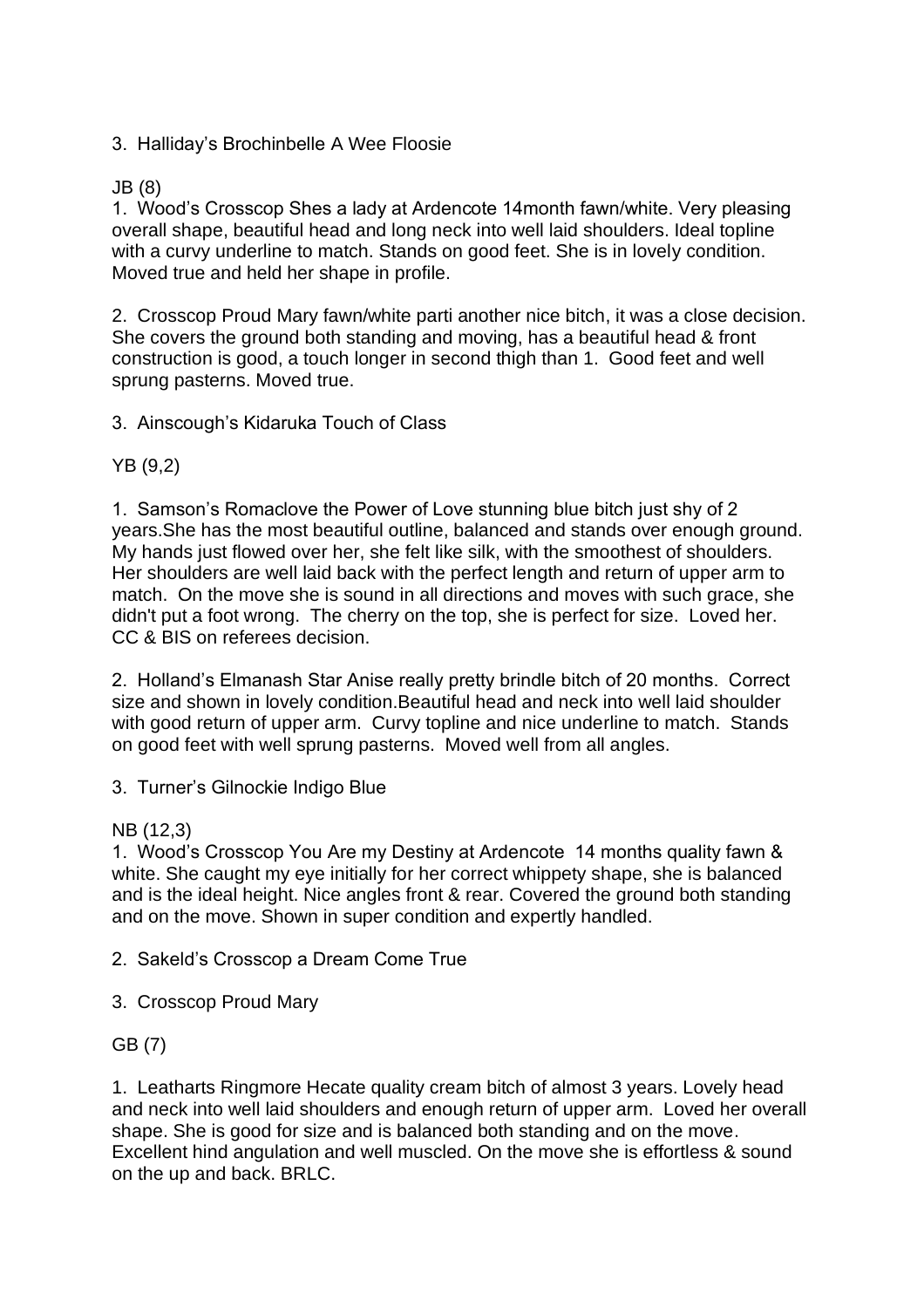3. Halliday's Brochinbelle A Wee Floosie

## JB (8)

1. Wood's Crosscop Shes a lady at Ardencote 14month fawn/white. Very pleasing overall shape, beautiful head and long neck into well laid shoulders. Ideal topline with a curvy underline to match. Stands on good feet. She is in lovely condition. Moved true and held her shape in profile.

2. Crosscop Proud Mary fawn/white parti another nice bitch, it was a close decision. She covers the ground both standing and moving, has a beautiful head & front construction is good, a touch longer in second thigh than 1. Good feet and well sprung pasterns. Moved true.

3. Ainscough's Kidaruka Touch of Class

## YB (9,2)

1. Samson's Romaclove the Power of Love stunning blue bitch just shy of 2 years.She has the most beautiful outline, balanced and stands over enough ground. My hands just flowed over her, she felt like silk, with the smoothest of shoulders. Her shoulders are well laid back with the perfect length and return of upper arm to match. On the move she is sound in all directions and moves with such grace, she didn't put a foot wrong. The cherry on the top, she is perfect for size. Loved her. CC & BIS on referees decision.

2. Holland's Elmanash Star Anise really pretty brindle bitch of 20 months. Correct size and shown in lovely condition.Beautiful head and neck into well laid shoulder with good return of upper arm. Curvy topline and nice underline to match. Stands on good feet with well sprung pasterns. Moved well from all angles.

3. Turner's Gilnockie Indigo Blue

# NB (12,3)

1. Wood's Crosscop You Are my Destiny at Ardencote 14 months quality fawn & white. She caught my eye initially for her correct whippety shape, she is balanced and is the ideal height. Nice angles front & rear. Covered the ground both standing and on the move. Shown in super condition and expertly handled.

2. Sakeld's Crosscop a Dream Come True

3. Crosscop Proud Mary

# GB (7)

1. Leatharts Ringmore Hecate quality cream bitch of almost 3 years. Lovely head and neck into well laid shoulders and enough return of upper arm. Loved her overall shape. She is good for size and is balanced both standing and on the move. Excellent hind angulation and well muscled. On the move she is effortless & sound on the up and back. BRLC.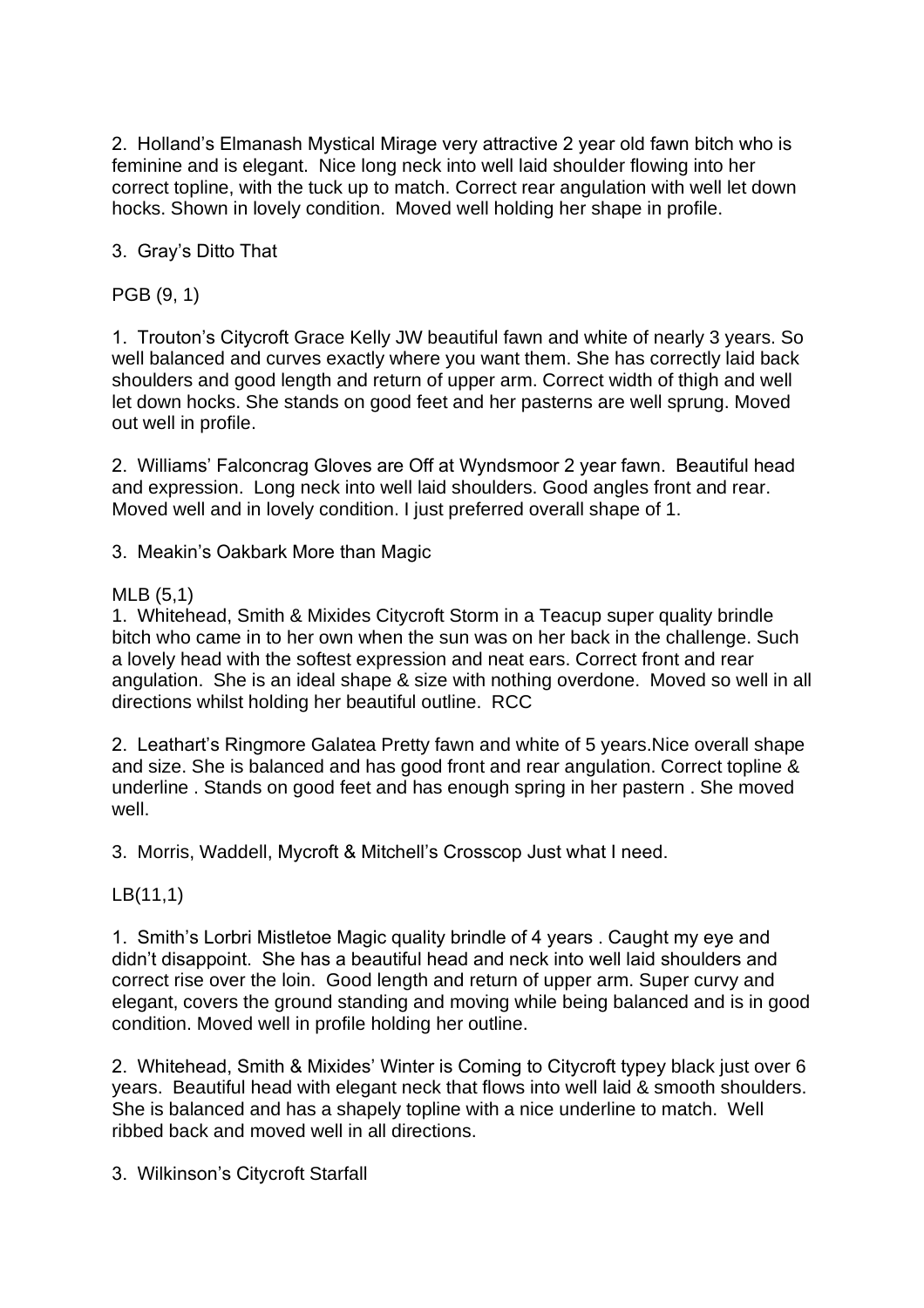2. Holland's Elmanash Mystical Mirage very attractive 2 year old fawn bitch who is feminine and is elegant. Nice long neck into well laid shoulder flowing into her correct topline, with the tuck up to match. Correct rear angulation with well let down hocks. Shown in lovely condition. Moved well holding her shape in profile.

3. Gray's Ditto That

PGB (9, 1)

1. Trouton's Citycroft Grace Kelly JW beautiful fawn and white of nearly 3 years. So well balanced and curves exactly where you want them. She has correctly laid back shoulders and good length and return of upper arm. Correct width of thigh and well let down hocks. She stands on good feet and her pasterns are well sprung. Moved out well in profile.

2. Williams' Falconcrag Gloves are Off at Wyndsmoor 2 year fawn. Beautiful head and expression. Long neck into well laid shoulders. Good angles front and rear. Moved well and in lovely condition. I just preferred overall shape of 1.

3. Meakin's Oakbark More than Magic

## MLB (5,1)

1. Whitehead, Smith & Mixides Citycroft Storm in a Teacup super quality brindle bitch who came in to her own when the sun was on her back in the challenge. Such a lovely head with the softest expression and neat ears. Correct front and rear angulation. She is an ideal shape & size with nothing overdone. Moved so well in all directions whilst holding her beautiful outline. RCC

2. Leathart's Ringmore Galatea Pretty fawn and white of 5 years.Nice overall shape and size. She is balanced and has good front and rear angulation. Correct topline & underline . Stands on good feet and has enough spring in her pastern . She moved well.

3. Morris, Waddell, Mycroft & Mitchell's Crosscop Just what I need.

LB(11,1)

1. Smith's Lorbri Mistletoe Magic quality brindle of 4 years . Caught my eye and didn't disappoint. She has a beautiful head and neck into well laid shoulders and correct rise over the loin. Good length and return of upper arm. Super curvy and elegant, covers the ground standing and moving while being balanced and is in good condition. Moved well in profile holding her outline.

2. Whitehead, Smith & Mixides' Winter is Coming to Citycroft typey black just over 6 years. Beautiful head with elegant neck that flows into well laid & smooth shoulders. She is balanced and has a shapely topline with a nice underline to match. Well ribbed back and moved well in all directions.

3. Wilkinson's Citycroft Starfall